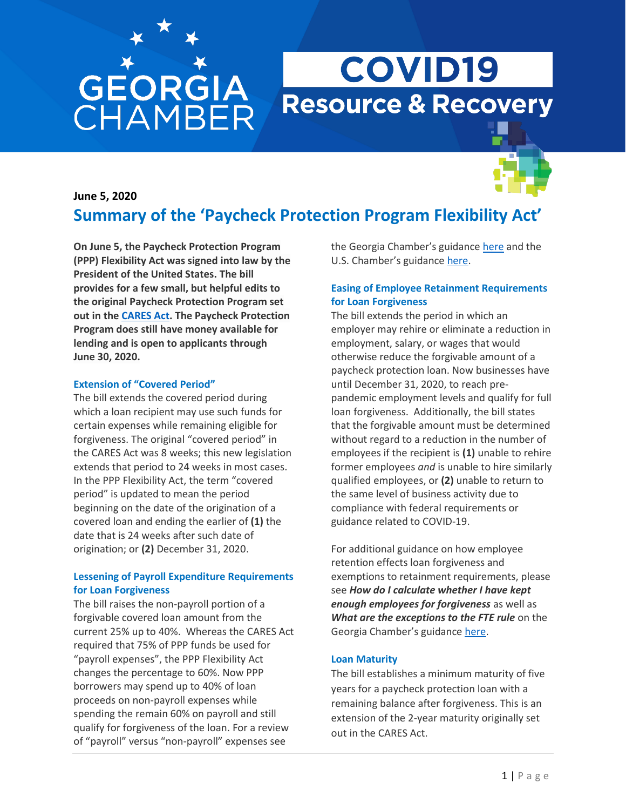# **GEORGIA**<br>CHAMBER

## **COVID19 Resource & Recovery**



### **June 5, 2020 Summary of the 'Paycheck Protection Program Flexibility Act'**

**On June 5, the Paycheck Protection Program (PPP) Flexibility Act was signed into law by the President of the United States. The bill provides for a few small, but helpful edits to the original Paycheck Protection Program set out in the [CARES Act.](https://www.gachamber.com/wp-content/uploads/2020/03/Federal-Stimulas-Package-Phase-1-3-final.pdf) The Paycheck Protection Program does still have money available for lending and is open to applicants through June 30, 2020.** 

#### **Extension of "Covered Period"**

The bill extends the covered period during which a loan recipient may use such funds for certain expenses while remaining eligible for forgiveness. The original "covered period" in the CARES Act was 8 weeks; this new legislation extends that period to 24 weeks in most cases. In the PPP Flexibility Act, the term "covered period" is updated to mean the period beginning on the date of the origination of a covered loan and ending the earlier of **(1)** the date that is 24 weeks after such date of origination; or **(2)** December 31, 2020.

#### **Lessening of Payroll Expenditure Requirements for Loan Forgiveness**

The bill raises the non-payroll portion of a forgivable covered loan amount from the current 25% up to 40%. Whereas the CARES Act required that 75% of PPP funds be used for "payroll expenses", the PPP Flexibility Act changes the percentage to 60%. Now PPP borrowers may spend up to 40% of loan proceeds on non-payroll expenses while spending the remain 60% on payroll and still qualify for forgiveness of the loan. For a review of "payroll" versus "non-payroll" expenses see

the Georgia Chamber's guidance [here](https://www.gachamber.com/wp-content/uploads/2020/05/Acceptable-Use-of-PPP-Funds-.pdf) and the U.S. Chamber's guidance [here.](https://www.gachamber.com/wp-content/uploads/2020/05/gachamber-2020-05-21-v1-ppploanforgiveness-flyer-kw.pdf)

#### **Easing of Employee Retainment Requirements for Loan Forgiveness**

The bill extends the period in which an employer may rehire or eliminate a reduction in employment, salary, or wages that would otherwise reduce the forgivable amount of a paycheck protection loan. Now businesses have until December 31, 2020, to reach prepandemic employment levels and qualify for full loan forgiveness. Additionally, the bill states that the forgivable amount must be determined without regard to a reduction in the number of employees if the recipient is **(1)** unable to rehire former employees *and* is unable to hire similarly qualified employees, or **(2)** unable to return to the same level of business activity due to compliance with federal requirements or guidance related to COVID-19.

For additional guidance on how employee retention effects loan forgiveness and exemptions to retainment requirements, please see *How do I calculate whether I have kept enough employees for forgiveness* as well as *What are the exceptions to the FTE rule* on the Georgia Chamber's guidance [here.](https://www.gachamber.com/wp-content/uploads/2020/05/Acceptable-Use-of-PPP-Funds-.pdf)

#### **Loan Maturity**

The bill establishes a minimum maturity of five years for a paycheck protection loan with a remaining balance after forgiveness. This is an extension of the 2-year maturity originally set out in the CARES Act.